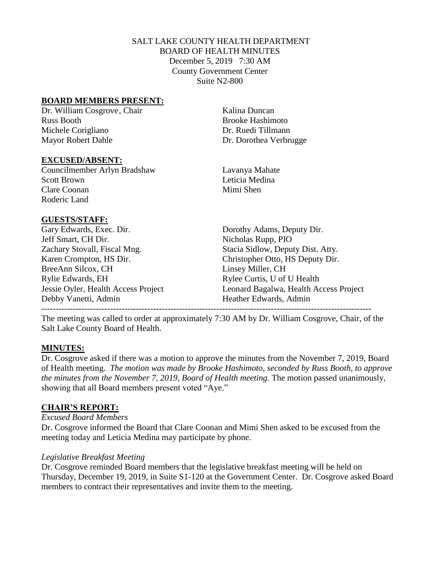# SALT LAKE COUNTY HEALTH DEPARTMENT BOARD OF HEALTH MINUTES December 5, 2019 7:30 AM County Government Center Suite N2-800

## **BOARD MEMBERS PRESENT:**

Dr. William Cosgrove, Chair Kalina Duncan Russ Booth Brooke Hashimoto Michele Corigliano Dr. Ruedi Tillmann Mayor Robert Dahle Dr. Dorothea Verbrugge

## **EXCUSED/ABSENT:**

Councilmember Arlyn Bradshaw Lavanya Mahate Scott Brown Leticia Medina Clare Coonan Mimi Shen Roderic Land

## **GUESTS/STAFF:**

Gary Edwards, Exec. Dir. Dorothy Adams, Deputy Dir. Jeff Smart, CH Dir. Nicholas Rupp, PIO Zachary Stovall, Fiscal Mng. Stacia Sidlow, Deputy Dist. Atty. Karen Crompton, HS Dir. Christopher Otto, HS Deputy Dir. BreeAnn Silcox, CH Linsey Miller, CH Rylie Edwards, EH Rylee Curtis, U of U Health Debby Vanetti, Admin Heather Edwards, Admin

Jessie Oyler, Health Access Project Leonard Bagalwa, Health Access Project

The meeting was called to order at approximately 7:30 AM by Dr. William Cosgrove, Chair, of the Salt Lake County Board of Health.

-------------------------------------------------------------------------------------------------------------------

# **MINUTES:**

Dr. Cosgrove asked if there was a motion to approve the minutes from the November 7, 2019, Board of Health meeting. *The motion was made by Brooke Hashimoto, seconded by Russ Booth, to approve the minutes from the November 7, 2019, Board of Health meeting.* The motion passed unanimously, showing that all Board members present voted "Aye."

# **CHAIR'S REPORT:**

## *Excused Board Members*

Dr. Cosgrove informed the Board that Clare Coonan and Mimi Shen asked to be excused from the meeting today and Leticia Medina may participate by phone.

## *Legislative Breakfast Meeting*

Dr. Cosgrove reminded Board members that the legislative breakfast meeting will be held on Thursday, December 19, 2019, in Suite S1-120 at the Government Center. Dr. Cosgrove asked Board members to contract their representatives and invite them to the meeting.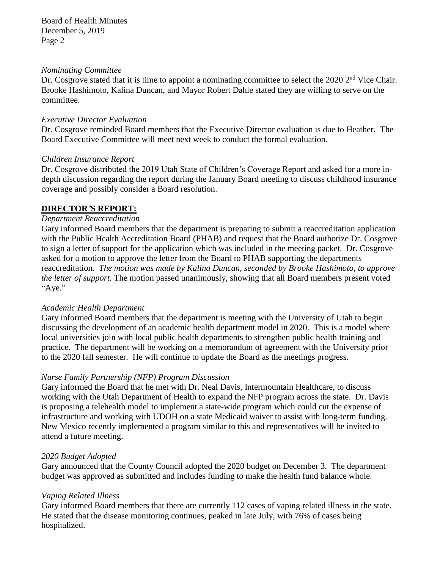#### *Nominating Committee*

Dr. Cosgrove stated that it is time to appoint a nominating committee to select the 2020 2<sup>nd</sup> Vice Chair. Brooke Hashimoto, Kalina Duncan, and Mayor Robert Dahle stated they are willing to serve on the committee.

## *Executive Director Evaluation*

Dr. Cosgrove reminded Board members that the Executive Director evaluation is due to Heather. The Board Executive Committee will meet next week to conduct the formal evaluation.

## *Children Insurance Report*

Dr. Cosgrove distributed the 2019 Utah State of Children's Coverage Report and asked for a more indepth discussion regarding the report during the January Board meeting to discuss childhood insurance coverage and possibly consider a Board resolution.

# **DIRECTOR***'***S REPORT:**

## *Department Reaccreditation*

Gary informed Board members that the department is preparing to submit a reaccreditation application with the Public Health Accreditation Board (PHAB) and request that the Board authorize Dr. Cosgrove to sign a letter of support for the application which was included in the meeting packet. Dr. Cosgrove asked for a motion to approve the letter from the Board to PHAB supporting the departments reaccreditation. *The motion was made by Kalina Duncan, seconded by Brooke Hashimoto, to approve the letter of support.* The motion passed unanimously, showing that all Board members present voted "Aye."

# *Academic Health Department*

Gary informed Board members that the department is meeting with the University of Utah to begin discussing the development of an academic health department model in 2020. This is a model where local universities join with local public health departments to strengthen public health training and practice. The department will be working on a memorandum of agreement with the University prior to the 2020 fall semester. He will continue to update the Board as the meetings progress.

# *Nurse Family Partnership (NFP) Program Discussion*

Gary informed the Board that he met with Dr. Neal Davis, Intermountain Healthcare, to discuss working with the Utah Department of Health to expand the NFP program across the state. Dr. Davis is proposing a telehealth model to implement a state-wide program which could cut the expense of infrastructure and working with UDOH on a state Medicaid waiver to assist with long-term funding. New Mexico recently implemented a program similar to this and representatives will be invited to attend a future meeting.

# *2020 Budget Adopted*

Gary announced that the County Council adopted the 2020 budget on December 3. The department budget was approved as submitted and includes funding to make the health fund balance whole.

# *Vaping Related Illness*

Gary informed Board members that there are currently 112 cases of vaping related illness in the state. He stated that the disease monitoring continues, peaked in late July, with 76% of cases being hospitalized.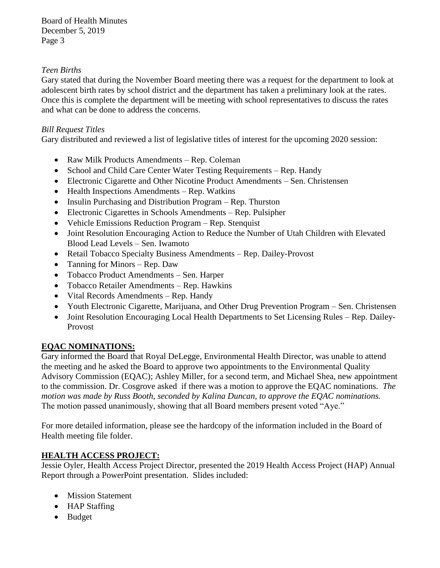# *Teen Births*

Gary stated that during the November Board meeting there was a request for the department to look at adolescent birth rates by school district and the department has taken a preliminary look at the rates. Once this is complete the department will be meeting with school representatives to discuss the rates and what can be done to address the concerns.

# *Bill Request Titles*

Gary distributed and reviewed a list of legislative titles of interest for the upcoming 2020 session:

- Raw Milk Products Amendments Rep. Coleman
- School and Child Care Center Water Testing Requirements Rep. Handy
- Electronic Cigarette and Other Nicotine Product Amendments Sen. Christensen
- Health Inspections Amendments Rep. Watkins
- Insulin Purchasing and Distribution Program Rep. Thurston
- Electronic Cigarettes in Schools Amendments Rep. Pulsipher
- Vehicle Emissions Reduction Program Rep. Stenquist
- Joint Resolution Encouraging Action to Reduce the Number of Utah Children with Elevated Blood Lead Levels – Sen. Iwamoto
- Retail Tobacco Specialty Business Amendments Rep. Dailey-Provost
- Tanning for Minors Rep. Daw
- Tobacco Product Amendments Sen. Harper
- Tobacco Retailer Amendments Rep. Hawkins
- Vital Records Amendments Rep. Handy
- Youth Electronic Cigarette, Marijuana, and Other Drug Prevention Program Sen. Christensen
- Joint Resolution Encouraging Local Health Departments to Set Licensing Rules Rep. Dailey-Provost

# **EQAC NOMINATIONS:**

Gary informed the Board that Royal DeLegge, Environmental Health Director, was unable to attend the meeting and he asked the Board to approve two appointments to the Environmental Quality Advisory Commission (EQAC); Ashley Miller, for a second term, and Michael Shea, new appointment to the commission. Dr. Cosgrove asked if there was a motion to approve the EQAC nominations. *The motion was made by Russ Booth, seconded by Kalina Duncan, to approve the EQAC nominations.*  The motion passed unanimously, showing that all Board members present voted "Aye."

For more detailed information, please see the hardcopy of the information included in the Board of Health meeting file folder.

# **HEALTH ACCESS PROJECT:**

Jessie Oyler, Health Access Project Director, presented the 2019 Health Access Project (HAP) Annual Report through a PowerPoint presentation. Slides included:

- Mission Statement
- HAP Staffing
- Budget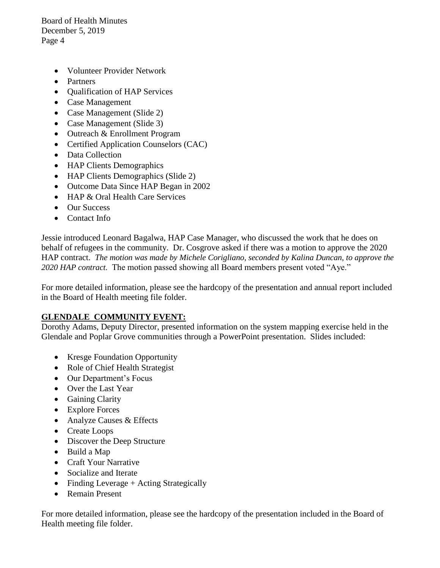- Volunteer Provider Network
- Partners
- Qualification of HAP Services
- Case Management
- Case Management (Slide 2)
- Case Management (Slide 3)
- Outreach & Enrollment Program
- Certified Application Counselors (CAC)
- Data Collection
- HAP Clients Demographics
- HAP Clients Demographics (Slide 2)
- Outcome Data Since HAP Began in 2002
- HAP & Oral Health Care Services
- Our Success
- Contact Info

Jessie introduced Leonard Bagalwa, HAP Case Manager, who discussed the work that he does on behalf of refugees in the community. Dr. Cosgrove asked if there was a motion to approve the 2020 HAP contract. *The motion was made by Michele Corigliano, seconded by Kalina Duncan, to approve the 2020 HAP contract.* The motion passed showing all Board members present voted "Aye."

For more detailed information, please see the hardcopy of the presentation and annual report included in the Board of Health meeting file folder.

# **GLENDALE COMMUNITY EVENT:**

Dorothy Adams, Deputy Director, presented information on the system mapping exercise held in the Glendale and Poplar Grove communities through a PowerPoint presentation. Slides included:

- Kresge Foundation Opportunity
- Role of Chief Health Strategist
- Our Department's Focus
- Over the Last Year
- Gaining Clarity
- Explore Forces
- Analyze Causes & Effects
- Create Loops
- Discover the Deep Structure
- Build a Map
- Craft Your Narrative
- Socialize and Iterate
- Finding Leverage + Acting Strategically
- Remain Present

For more detailed information, please see the hardcopy of the presentation included in the Board of Health meeting file folder.